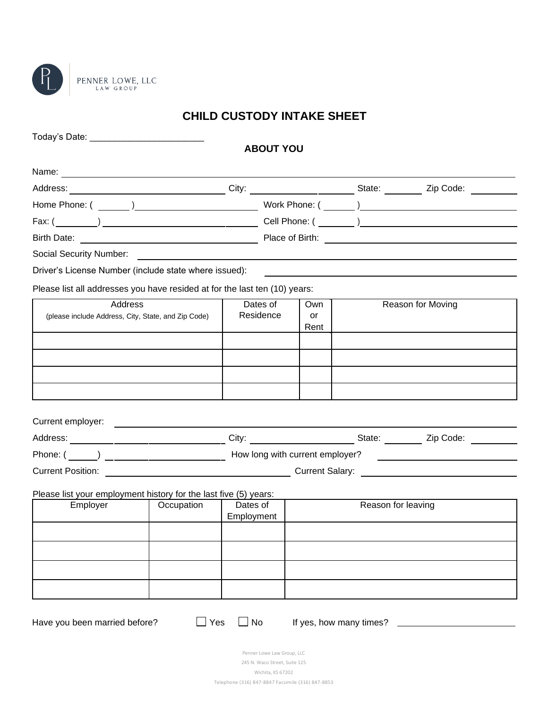

## **CHILD CUSTODY INTAKE SHEET**

| Today's Date: _____________________________                                                                                                                                                                                          |                                                                                                                      |                                                    |                         |                    |                   |
|--------------------------------------------------------------------------------------------------------------------------------------------------------------------------------------------------------------------------------------|----------------------------------------------------------------------------------------------------------------------|----------------------------------------------------|-------------------------|--------------------|-------------------|
|                                                                                                                                                                                                                                      |                                                                                                                      | <b>ABOUT YOU</b>                                   |                         |                    |                   |
|                                                                                                                                                                                                                                      |                                                                                                                      |                                                    |                         |                    |                   |
|                                                                                                                                                                                                                                      |                                                                                                                      |                                                    |                         |                    |                   |
|                                                                                                                                                                                                                                      |                                                                                                                      |                                                    |                         |                    |                   |
|                                                                                                                                                                                                                                      |                                                                                                                      |                                                    |                         |                    |                   |
| Birth Date: <u>New York: New York: New York: New York: New York: New York: New York: New York: New York: New York: New York: New York: New York: New York: New York: New York: New York: New York: New York: New York: New York:</u> |                                                                                                                      |                                                    |                         |                    |                   |
|                                                                                                                                                                                                                                      |                                                                                                                      |                                                    |                         |                    |                   |
| Driver's License Number (include state where issued):                                                                                                                                                                                |                                                                                                                      |                                                    |                         |                    |                   |
| Please list all addresses you have resided at for the last ten (10) years:                                                                                                                                                           |                                                                                                                      |                                                    |                         |                    |                   |
| Address                                                                                                                                                                                                                              |                                                                                                                      | Dates of                                           | Own                     |                    | Reason for Moving |
| (please include Address, City, State, and Zip Code)                                                                                                                                                                                  |                                                                                                                      | Residence                                          | or<br>Rent              |                    |                   |
|                                                                                                                                                                                                                                      |                                                                                                                      |                                                    |                         |                    |                   |
|                                                                                                                                                                                                                                      |                                                                                                                      |                                                    |                         |                    |                   |
|                                                                                                                                                                                                                                      |                                                                                                                      |                                                    |                         |                    |                   |
|                                                                                                                                                                                                                                      |                                                                                                                      |                                                    |                         |                    |                   |
|                                                                                                                                                                                                                                      |                                                                                                                      |                                                    |                         |                    |                   |
| Current employer:                                                                                                                                                                                                                    | <u> 1989 - Jan Stein Stein Stein Stein Stein Stein Stein Stein Stein Stein Stein Stein Stein Stein Stein Stein S</u> |                                                    |                         |                    |                   |
|                                                                                                                                                                                                                                      |                                                                                                                      |                                                    |                         |                    |                   |
|                                                                                                                                                                                                                                      |                                                                                                                      |                                                    |                         |                    |                   |
| Current Position: The Community of Current Salary: Current Salary:                                                                                                                                                                   |                                                                                                                      |                                                    |                         |                    |                   |
| Please list your employment history for the last five (5) years:                                                                                                                                                                     |                                                                                                                      |                                                    |                         |                    |                   |
| Employer                                                                                                                                                                                                                             | Occupation                                                                                                           | Dates of                                           |                         | Reason for leaving |                   |
|                                                                                                                                                                                                                                      |                                                                                                                      | Employment                                         |                         |                    |                   |
|                                                                                                                                                                                                                                      |                                                                                                                      |                                                    |                         |                    |                   |
|                                                                                                                                                                                                                                      |                                                                                                                      |                                                    |                         |                    |                   |
|                                                                                                                                                                                                                                      |                                                                                                                      |                                                    |                         |                    |                   |
|                                                                                                                                                                                                                                      |                                                                                                                      |                                                    |                         |                    |                   |
|                                                                                                                                                                                                                                      |                                                                                                                      |                                                    |                         |                    |                   |
| Have you been married before?                                                                                                                                                                                                        | $\Box$ Yes                                                                                                           | No                                                 | If yes, how many times? |                    |                   |
|                                                                                                                                                                                                                                      |                                                                                                                      |                                                    |                         |                    |                   |
|                                                                                                                                                                                                                                      |                                                                                                                      | Penner Lowe Law Group, LLC                         |                         |                    |                   |
|                                                                                                                                                                                                                                      |                                                                                                                      | 245 N. Waco Street, Suite 125<br>Wichita, KS 67202 |                         |                    |                   |
|                                                                                                                                                                                                                                      |                                                                                                                      | Telephone (316) 847-8847 Facsimile (316) 847-8853  |                         |                    |                   |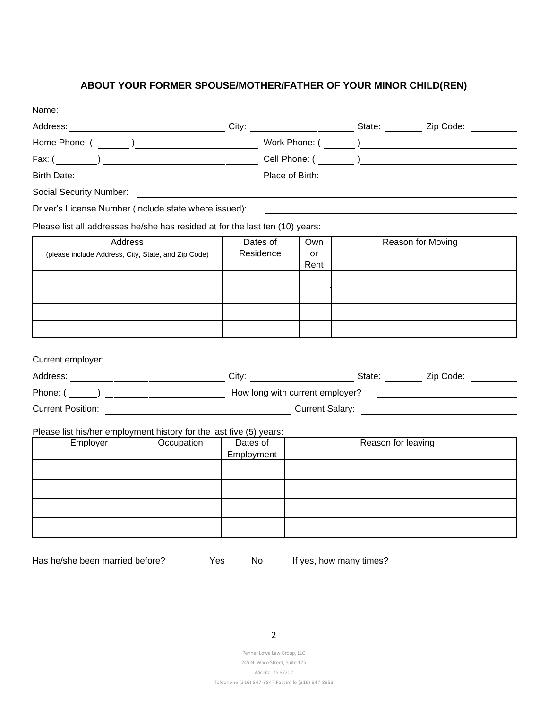### **ABOUT YOUR FORMER SPOUSE/MOTHER/FATHER OF YOUR MINOR CHILD(REN)**

| Birth Date: <u>New York: New York: New York: New York: New York: New York: New York: New York: New York: New York: New York: New York: New York: New York: New York: New York: New York: New York: New York: New York: New York:</u>                                                      |            |                        |                   |                    |                   |
|-------------------------------------------------------------------------------------------------------------------------------------------------------------------------------------------------------------------------------------------------------------------------------------------|------------|------------------------|-------------------|--------------------|-------------------|
|                                                                                                                                                                                                                                                                                           |            |                        |                   |                    |                   |
| Driver's License Number (include state where issued):                                                                                                                                                                                                                                     |            |                        |                   |                    |                   |
| Please list all addresses he/she has resided at for the last ten (10) years:                                                                                                                                                                                                              |            |                        |                   |                    |                   |
| Address<br>(please include Address, City, State, and Zip Code)                                                                                                                                                                                                                            |            | Dates of<br>Residence  | Own<br>or<br>Rent |                    | Reason for Moving |
|                                                                                                                                                                                                                                                                                           |            |                        |                   |                    |                   |
|                                                                                                                                                                                                                                                                                           |            |                        |                   |                    |                   |
|                                                                                                                                                                                                                                                                                           |            |                        |                   |                    |                   |
|                                                                                                                                                                                                                                                                                           |            |                        |                   |                    |                   |
| Current employer: <u>example and the set of the set of the set of the set of the set of the set of the set of the set of the set of the set of the set of the set of the set of the set of the set of the set of the set of the </u><br>Current Position: Current Salary: Current Salary: |            |                        |                   |                    |                   |
| Please list his/her employment history for the last five (5) years:                                                                                                                                                                                                                       |            |                        |                   |                    |                   |
| Employer                                                                                                                                                                                                                                                                                  | Occupation | Dates of<br>Employment |                   | Reason for leaving |                   |
|                                                                                                                                                                                                                                                                                           |            |                        |                   |                    |                   |
|                                                                                                                                                                                                                                                                                           |            |                        |                   |                    |                   |
|                                                                                                                                                                                                                                                                                           |            |                        |                   |                    |                   |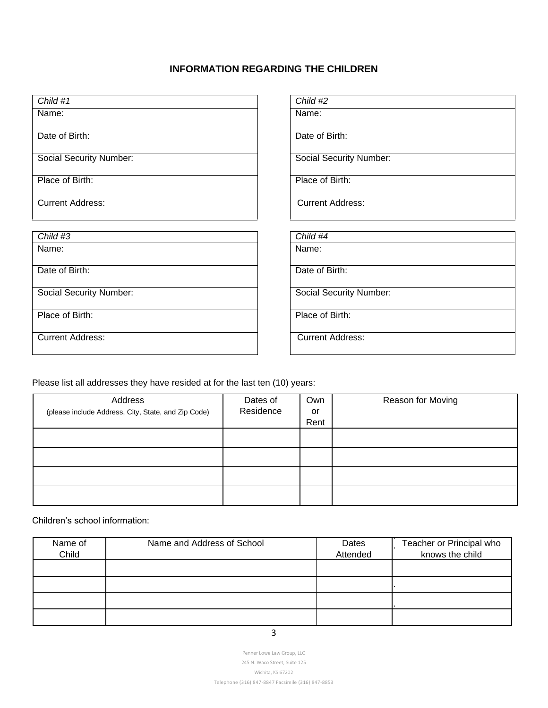### **INFORMATION REGARDING THE CHILDREN**

| Child #1                       | Child #2                       |
|--------------------------------|--------------------------------|
| Name:                          | Name:                          |
| Date of Birth:                 | Date of Birth:                 |
| <b>Social Security Number:</b> | <b>Social Security Number:</b> |
| Place of Birth:                | Place of Birth:                |
| <b>Current Address:</b>        | <b>Current Address:</b>        |
|                                |                                |
| Child #3                       | Child #4                       |
| Name:                          | Name:                          |
| Date of Birth:                 | Date of Birth:                 |
| <b>Social Security Number:</b> | <b>Social Security Number:</b> |
| Place of Birth:                | Place of Birth:                |
| <b>Current Address:</b>        | <b>Current Address:</b>        |
|                                |                                |

Please list all addresses they have resided at for the last ten (10) years:

| Address<br>(please include Address, City, State, and Zip Code) | Dates of<br>Residence | Own<br>or | Reason for Moving |
|----------------------------------------------------------------|-----------------------|-----------|-------------------|
|                                                                |                       | Rent      |                   |
|                                                                |                       |           |                   |
|                                                                |                       |           |                   |
|                                                                |                       |           |                   |
|                                                                |                       |           |                   |

Children's school information:

| Name of<br>Child | Name and Address of School | Dates<br>Attended | Teacher or Principal who<br>knows the child |
|------------------|----------------------------|-------------------|---------------------------------------------|
|                  |                            |                   |                                             |
|                  |                            |                   |                                             |
|                  |                            |                   |                                             |
|                  |                            |                   |                                             |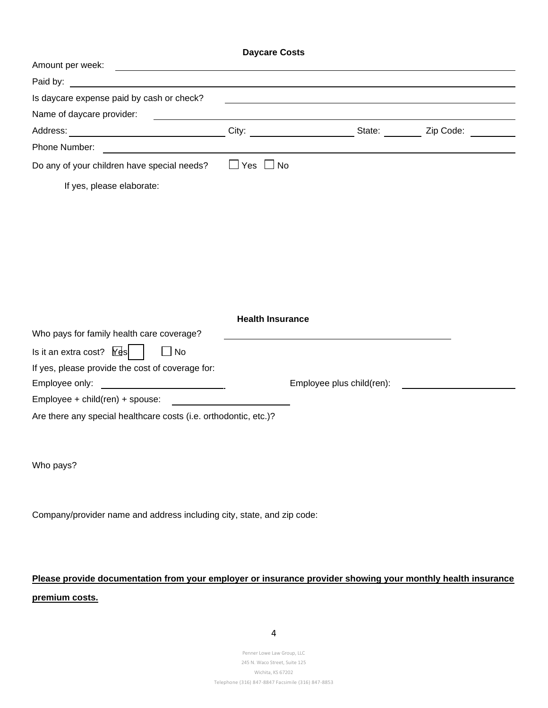|                                                                                                                                          | <b>Daycare Costs</b>    |                              |  |  |
|------------------------------------------------------------------------------------------------------------------------------------------|-------------------------|------------------------------|--|--|
| Amount per week:<br><u> 1989 - Johann Barn, mars ann an t-Amhain Aonaich an t-Aonaich an t-Aonaich ann an t-Aonaich ann an t-Aonaich</u> |                         |                              |  |  |
| Paid by:                                                                                                                                 |                         |                              |  |  |
| Is daycare expense paid by cash or check?                                                                                                |                         |                              |  |  |
| Name of daycare provider:                                                                                                                |                         |                              |  |  |
|                                                                                                                                          |                         | City: City: State: Zip Code: |  |  |
|                                                                                                                                          |                         |                              |  |  |
| Do any of your children have special needs?                                                                                              | $\Box$ Yes $\Box$ No    |                              |  |  |
| If yes, please elaborate:                                                                                                                |                         |                              |  |  |
|                                                                                                                                          |                         |                              |  |  |
|                                                                                                                                          |                         |                              |  |  |
|                                                                                                                                          |                         |                              |  |  |
|                                                                                                                                          |                         |                              |  |  |
|                                                                                                                                          |                         |                              |  |  |
|                                                                                                                                          |                         |                              |  |  |
|                                                                                                                                          |                         |                              |  |  |
|                                                                                                                                          | <b>Health Insurance</b> |                              |  |  |
| Who pays for family health care coverage?                                                                                                |                         |                              |  |  |
| Is it an extra cost? $Y \text{ds}$<br>No                                                                                                 |                         |                              |  |  |
| If yes, please provide the cost of coverage for:                                                                                         |                         |                              |  |  |
| Employee only:                                                                                                                           |                         | Employee plus child(ren):    |  |  |
| Employee + child(ren) + spouse:                                                                                                          |                         |                              |  |  |
| Are there any special healthcare costs (i.e. orthodontic, etc.)?                                                                         |                         |                              |  |  |
|                                                                                                                                          |                         |                              |  |  |
|                                                                                                                                          |                         |                              |  |  |
| Who pays?                                                                                                                                |                         |                              |  |  |

Company/provider name and address including city, state, and zip code:

# **Please provide documentation from your employer or insurance provider showing your monthly health insurance premium costs.**

4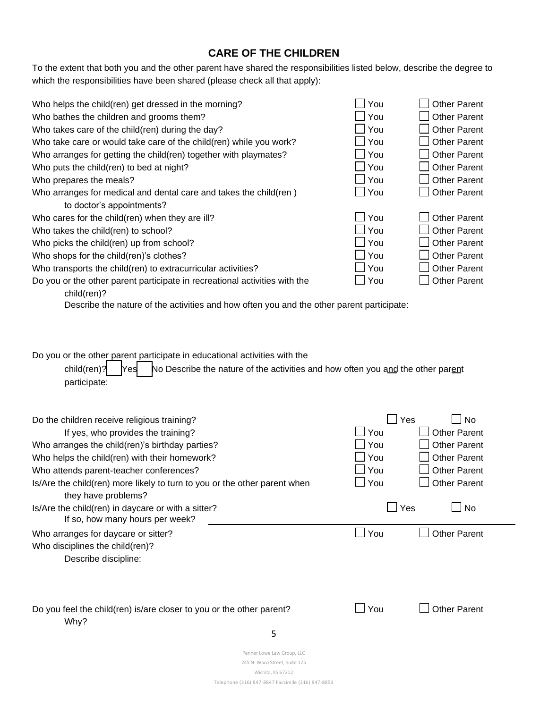### **CARE OF THE CHILDREN**

To the extent that both you and the other parent have shared the responsibilities listed below, describe the degree to which the responsibilities have been shared (please check all that apply):

| Who helps the child(ren) get dressed in the morning?                                      | You | <b>Other Parent</b> |
|-------------------------------------------------------------------------------------------|-----|---------------------|
| Who bathes the children and grooms them?                                                  | You | <b>Other Parent</b> |
| Who takes care of the child(ren) during the day?                                          | You | <b>Other Parent</b> |
| Who take care or would take care of the child(ren) while you work?                        | You | <b>Other Parent</b> |
| Who arranges for getting the child(ren) together with playmates?                          | You | <b>Other Parent</b> |
| Who puts the child(ren) to bed at night?                                                  | You | <b>Other Parent</b> |
| Who prepares the meals?                                                                   | You | <b>Other Parent</b> |
| Who arranges for medical and dental care and takes the child (ren)                        | You | <b>Other Parent</b> |
| to doctor's appointments?                                                                 |     |                     |
| Who cares for the child(ren) when they are ill?                                           | You | <b>Other Parent</b> |
| Who takes the child(ren) to school?                                                       | You | <b>Other Parent</b> |
| Who picks the child(ren) up from school?                                                  | You | <b>Other Parent</b> |
| Who shops for the child(ren)'s clothes?                                                   | You | <b>Other Parent</b> |
| Who transports the child(ren) to extracurricular activities?                              | You | <b>Other Parent</b> |
| Do you or the other parent participate in recreational activities with the<br>child(ren)? | You | <b>Other Parent</b> |

Describe the nature of the activities and how often you and the other parent participate:

Do you or the other parent participate in educational activities with the

child(ren)?  $\begin{bmatrix} \text{Yes} \\ \text{No Describe the nature of the activities and how often you and the other parent.} \end{bmatrix}$ participate:

| Do the children receive religious training?                                                      | Yes | <b>No</b>           |
|--------------------------------------------------------------------------------------------------|-----|---------------------|
| If yes, who provides the training?                                                               | You | <b>Other Parent</b> |
| Who arranges the child(ren)'s birthday parties?                                                  | You | <b>Other Parent</b> |
| Who helps the child(ren) with their homework?                                                    | You | <b>Other Parent</b> |
| Who attends parent-teacher conferences?                                                          | You | <b>Other Parent</b> |
| Is/Are the child(ren) more likely to turn to you or the other parent when<br>they have problems? | You | <b>Other Parent</b> |
| Is/Are the child(ren) in daycare or with a sitter?<br>If so, how many hours per week?            | Yes | No                  |
| Who arranges for daycare or sitter?                                                              | You | <b>Other Parent</b> |
| Who disciplines the child(ren)?                                                                  |     |                     |
| Describe discipline:                                                                             |     |                     |
|                                                                                                  |     |                     |
| Do you feel the child(ren) is/are closer to you or the other parent?                             | You | <b>Other Parent</b> |
| Why?<br>5                                                                                        |     |                     |
|                                                                                                  |     |                     |
| Penner Lowe Law Group, LLC                                                                       |     |                     |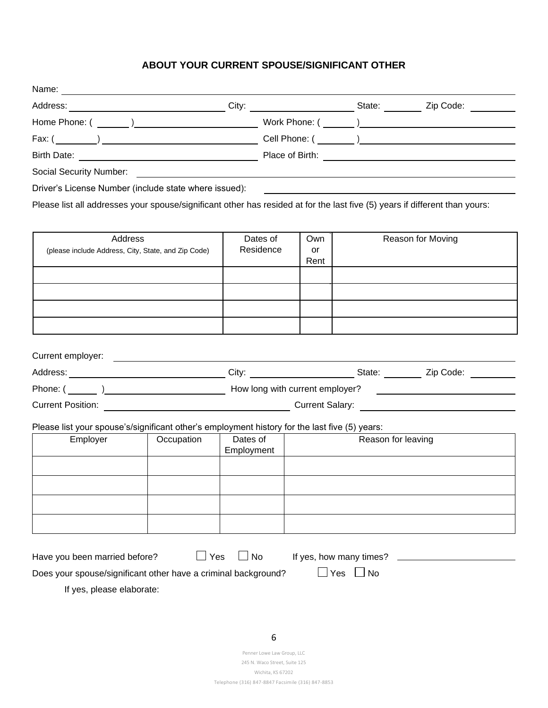### **ABOUT YOUR CURRENT SPOUSE/SIGNIFICANT OTHER**

| Driver's License Number (include state where issued):<br>Please list all addresses your spouse/significant other has resided at for the last five (5) years if different than yours:<br>Dates of |      |                    | City: City: City: City: City: City: City: City: City: City: City: City: City: City: City: City: City: City: City: City: City: City: City: City: City: City: City: City: City: City: City: City: City: City: City: City: City:        |
|--------------------------------------------------------------------------------------------------------------------------------------------------------------------------------------------------|------|--------------------|--------------------------------------------------------------------------------------------------------------------------------------------------------------------------------------------------------------------------------------|
|                                                                                                                                                                                                  |      |                    |                                                                                                                                                                                                                                      |
|                                                                                                                                                                                                  |      |                    | Birth Date: <u>New York: New York: New York: New York: New York: New York: New York: New York: New York: New York: New York: New York: New York: New York: New York: New York: New York: New York: New York: New York: New York:</u> |
|                                                                                                                                                                                                  |      |                    |                                                                                                                                                                                                                                      |
|                                                                                                                                                                                                  |      |                    |                                                                                                                                                                                                                                      |
|                                                                                                                                                                                                  |      |                    |                                                                                                                                                                                                                                      |
|                                                                                                                                                                                                  |      |                    |                                                                                                                                                                                                                                      |
|                                                                                                                                                                                                  |      |                    |                                                                                                                                                                                                                                      |
|                                                                                                                                                                                                  | Own  |                    | Reason for Moving                                                                                                                                                                                                                    |
| Residence<br>(please include Address, City, State, and Zip Code)                                                                                                                                 | or   |                    |                                                                                                                                                                                                                                      |
|                                                                                                                                                                                                  | Rent |                    |                                                                                                                                                                                                                                      |
|                                                                                                                                                                                                  |      |                    |                                                                                                                                                                                                                                      |
|                                                                                                                                                                                                  |      |                    |                                                                                                                                                                                                                                      |
|                                                                                                                                                                                                  |      |                    |                                                                                                                                                                                                                                      |
|                                                                                                                                                                                                  |      |                    |                                                                                                                                                                                                                                      |
|                                                                                                                                                                                                  |      |                    |                                                                                                                                                                                                                                      |
|                                                                                                                                                                                                  |      |                    |                                                                                                                                                                                                                                      |
|                                                                                                                                                                                                  |      |                    |                                                                                                                                                                                                                                      |
|                                                                                                                                                                                                  |      |                    |                                                                                                                                                                                                                                      |
|                                                                                                                                                                                                  |      |                    |                                                                                                                                                                                                                                      |
|                                                                                                                                                                                                  |      |                    |                                                                                                                                                                                                                                      |
| Dates of<br>Employment                                                                                                                                                                           |      | Reason for leaving |                                                                                                                                                                                                                                      |
|                                                                                                                                                                                                  |      |                    |                                                                                                                                                                                                                                      |
|                                                                                                                                                                                                  |      |                    |                                                                                                                                                                                                                                      |
|                                                                                                                                                                                                  |      |                    |                                                                                                                                                                                                                                      |
|                                                                                                                                                                                                  |      |                    |                                                                                                                                                                                                                                      |
|                                                                                                                                                                                                  |      |                    |                                                                                                                                                                                                                                      |
|                                                                                                                                                                                                  |      |                    | Current Position: Current Salary: Current Salary:<br>Please list your spouse's/significant other's employment history for the last five (5) years:                                                                                   |